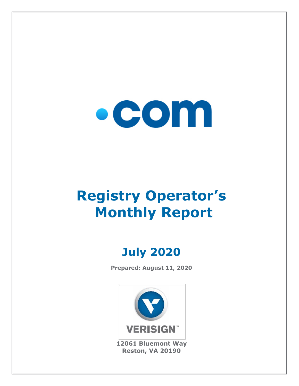

# **Registry Operator's Monthly Report**

# **July 2020**

**Prepared: August 11, 2020**



**12061 Bluemont Way Reston, VA 20190**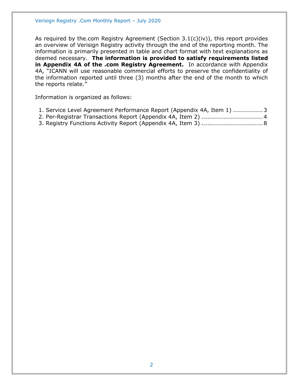As required by the.com Registry Agreement (Section 3.1(c)(iv)), this report provides an overview of Verisign Registry activity through the end of the reporting month. The information is primarily presented in table and chart format with text explanations as deemed necessary. **The information is provided to satisfy requirements listed in Appendix 4A of the .com Registry Agreement.** In accordance with Appendix 4A, "ICANN will use reasonable commercial efforts to preserve the confidentiality of the information reported until three (3) months after the end of the month to which the reports relate."

Information is organized as follows:

- [1. Service Level Agreement Performance Report \(Appendix 4A, Item 1\)](#page-2-0) ...............3
- [2. Per-Registrar Transactions Report \(Appendix 4A,](#page-3-0) Item 2) ...............................4
- [3. Registry Functions Activity Report \(Appendix 4A, Item 3\)](#page-7-0) ...............................8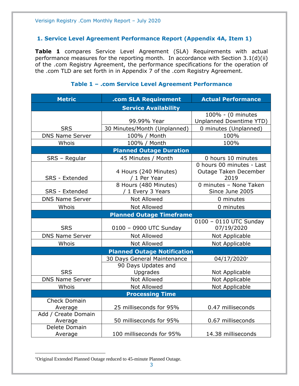### <span id="page-2-0"></span>**1. Service Level Agreement Performance Report (Appendix 4A, Item 1)**

**Table 1** compares Service Level Agreement (SLA) Requirements with actual performance measures for the reporting month. In accordance with Section 3.1(d)(ii) of the .com Registry Agreement, the performance specifications for the operation of the .com TLD are set forth in in Appendix 7 of the .com Registry Agreement.

| <b>Metric</b>          | .com SLA Requirement               | <b>Actual Performance</b>      |  |
|------------------------|------------------------------------|--------------------------------|--|
|                        | <b>Service Availability</b>        |                                |  |
|                        |                                    | 100% - (0 minutes              |  |
|                        | 99.99% Year                        | <b>Unplanned Downtime YTD)</b> |  |
| <b>SRS</b>             | 30 Minutes/Month (Unplanned)       | 0 minutes (Unplanned)          |  |
| <b>DNS Name Server</b> | 100% / Month                       | 100%                           |  |
| Whois                  | 100% / Month                       | 100%                           |  |
|                        | <b>Planned Outage Duration</b>     |                                |  |
| SRS - Regular          | 45 Minutes / Month                 | 0 hours 10 minutes             |  |
|                        |                                    | 0 hours 00 minutes - Last      |  |
|                        | 4 Hours (240 Minutes)              | Outage Taken December          |  |
| SRS - Extended         | / 1 Per Year                       | 2019                           |  |
|                        | 8 Hours (480 Minutes)              | 0 minutes - None Taken         |  |
| SRS - Extended         | / 1 Every 3 Years                  | Since June 2005                |  |
| <b>DNS Name Server</b> | Not Allowed                        | 0 minutes                      |  |
| Whois                  | <b>Not Allowed</b>                 | 0 minutes                      |  |
|                        | <b>Planned Outage Timeframe</b>    |                                |  |
|                        |                                    | 0100 - 0110 UTC Sunday         |  |
| <b>SRS</b>             | 0100 - 0900 UTC Sunday             | 07/19/2020                     |  |
| <b>DNS Name Server</b> | <b>Not Allowed</b>                 | Not Applicable                 |  |
| Whois                  | Not Allowed                        | Not Applicable                 |  |
|                        | <b>Planned Outage Notification</b> |                                |  |
|                        | 30 Days General Maintenance        | 04/17/2020*                    |  |
|                        | 90 Days Updates and                |                                |  |
| <b>SRS</b>             | Upgrades                           | Not Applicable                 |  |
| <b>DNS Name Server</b> | <b>Not Allowed</b>                 | Not Applicable                 |  |
| Whois                  | <b>Not Allowed</b>                 | Not Applicable                 |  |
| <b>Processing Time</b> |                                    |                                |  |
| <b>Check Domain</b>    |                                    |                                |  |
| Average                | 25 milliseconds for 95%            | 0.47 milliseconds              |  |
| Add / Create Domain    |                                    |                                |  |
| Average                | 50 milliseconds for 95%            | 0.67 milliseconds              |  |
| Delete Domain          |                                    |                                |  |
| Average                | 100 milliseconds for 95%           | 14.38 milliseconds             |  |

#### **Table 1 – .com Service Level Agreement Performance**

Original Extended Planned Outage reduced to 45-minute Planned Outage.

<sup>3</sup>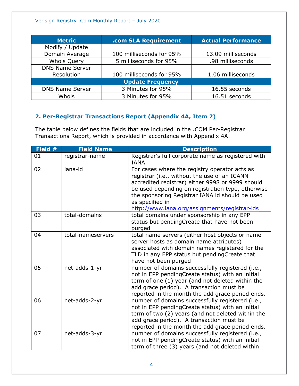| <b>Metric</b>          | .com SLA Requirement     | <b>Actual Performance</b> |
|------------------------|--------------------------|---------------------------|
| Modify / Update        |                          |                           |
| Domain Average         | 100 milliseconds for 95% | 13.09 milliseconds        |
| <b>Whois Query</b>     | 5 milliseconds for 95%   | .98 milliseconds          |
| <b>DNS Name Server</b> |                          |                           |
| Resolution             | 100 milliseconds for 95% | 1.06 milliseconds         |
|                        | <b>Update Frequency</b>  |                           |
| <b>DNS Name Server</b> | 3 Minutes for 95%        | 16.55 seconds             |
| Whois                  | 3 Minutes for 95%        | 16.51 seconds             |

# <span id="page-3-0"></span>**2. Per-Registrar Transactions Report (Appendix 4A, Item 2)**

The table below defines the fields that are included in the .COM Per-Registrar Transactions Report, which is provided in accordance with Appendix 4A.

| Field # | <b>Field Name</b> | <b>Description</b>                                                                                                                                                                                                                                                                                                            |
|---------|-------------------|-------------------------------------------------------------------------------------------------------------------------------------------------------------------------------------------------------------------------------------------------------------------------------------------------------------------------------|
| 01      | registrar-name    | Registrar's full corporate name as registered with<br><b>IANA</b>                                                                                                                                                                                                                                                             |
| 02      | iana-id           | For cases where the registry operator acts as<br>registrar (i.e., without the use of an ICANN<br>accredited registrar) either 9998 or 9999 should<br>be used depending on registration type, otherwise<br>the sponsoring Registrar IANA id should be used<br>as specified in<br>http://www.iana.org/assignments/registrar-ids |
| 03      | total-domains     | total domains under sponsorship in any EPP<br>status but pendingCreate that have not been<br>purged                                                                                                                                                                                                                           |
| 04      | total-nameservers | total name servers (either host objects or name<br>server hosts as domain name attributes)<br>associated with domain names registered for the<br>TLD in any EPP status but pendingCreate that<br>have not been purged                                                                                                         |
| 05      | net-adds-1-yr     | number of domains successfully registered (i.e.,<br>not in EPP pendingCreate status) with an initial<br>term of one (1) year (and not deleted within the<br>add grace period). A transaction must be<br>reported in the month the add grace period ends.                                                                      |
| 06      | net-adds-2-yr     | number of domains successfully registered (i.e.,<br>not in EPP pendingCreate status) with an initial<br>term of two (2) years (and not deleted within the<br>add grace period). A transaction must be<br>reported in the month the add grace period ends.                                                                     |
| 07      | net-adds-3-yr     | number of domains successfully registered (i.e.,<br>not in EPP pendingCreate status) with an initial<br>term of three (3) years (and not deleted within                                                                                                                                                                       |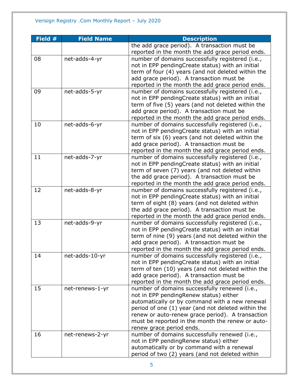| Field # | <b>Field Name</b> | <b>Description</b>                                                                                   |
|---------|-------------------|------------------------------------------------------------------------------------------------------|
|         |                   | the add grace period). A transaction must be                                                         |
|         |                   | reported in the month the add grace period ends.                                                     |
| 08      | net-adds-4-yr     | number of domains successfully registered (i.e.,                                                     |
|         |                   | not in EPP pendingCreate status) with an initial                                                     |
|         |                   | term of four (4) years (and not deleted within the                                                   |
|         |                   | add grace period). A transaction must be                                                             |
|         |                   | reported in the month the add grace period ends.                                                     |
| 09      | net-adds-5-yr     | number of domains successfully registered (i.e.,                                                     |
|         |                   | not in EPP pendingCreate status) with an initial                                                     |
|         |                   | term of five (5) years (and not deleted within the                                                   |
|         |                   | add grace period). A transaction must be                                                             |
|         |                   | reported in the month the add grace period ends.                                                     |
| 10      | net-adds-6-yr     | number of domains successfully registered (i.e.,<br>not in EPP pendingCreate status) with an initial |
|         |                   | term of six (6) years (and not deleted within the                                                    |
|         |                   | add grace period). A transaction must be                                                             |
|         |                   | reported in the month the add grace period ends.                                                     |
| 11      | net-adds-7-yr     | number of domains successfully registered (i.e.,                                                     |
|         |                   | not in EPP pendingCreate status) with an initial                                                     |
|         |                   | term of seven (7) years (and not deleted within                                                      |
|         |                   | the add grace period). A transaction must be                                                         |
|         |                   | reported in the month the add grace period ends.                                                     |
| 12      | net-adds-8-yr     | number of domains successfully registered (i.e.,                                                     |
|         |                   | not in EPP pendingCreate status) with an initial                                                     |
|         |                   | term of eight (8) years (and not deleted within                                                      |
|         |                   | the add grace period). A transaction must be                                                         |
|         |                   | reported in the month the add grace period ends.                                                     |
| 13      | net-adds-9-yr     | number of domains successfully registered (i.e.,                                                     |
|         |                   | not in EPP pendingCreate status) with an initial                                                     |
|         |                   | term of nine (9) years (and not deleted within the                                                   |
|         |                   | add grace period). A transaction must be                                                             |
|         |                   | reported in the month the add grace period ends.                                                     |
| 14      | net-adds-10-yr    | number of domains successfully registered (i.e.,                                                     |
|         |                   | not in EPP pendingCreate status) with an initial                                                     |
|         |                   | term of ten (10) years (and not deleted within the<br>add grace period). A transaction must be       |
|         |                   | reported in the month the add grace period ends.                                                     |
| 15      | net-renews-1-yr   | number of domains successfully renewed (i.e.,                                                        |
|         |                   | not in EPP pendingRenew status) either                                                               |
|         |                   | automatically or by command with a new renewal                                                       |
|         |                   | period of one (1) year (and not deleted within the                                                   |
|         |                   | renew or auto-renew grace period). A transaction                                                     |
|         |                   | must be reported in the month the renew or auto-                                                     |
|         |                   | renew grace period ends.                                                                             |
| 16      | net-renews-2-yr   | number of domains successfully renewed (i.e.,                                                        |
|         |                   | not in EPP pendingRenew status) either                                                               |
|         |                   | automatically or by command with a renewal                                                           |
|         |                   | period of two (2) years (and not deleted within                                                      |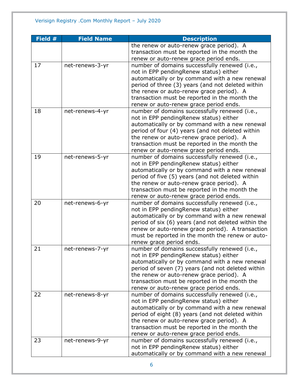| Field # | <b>Field Name</b> | <b>Description</b>                                                                                                                                                                                                                                                                                                                     |
|---------|-------------------|----------------------------------------------------------------------------------------------------------------------------------------------------------------------------------------------------------------------------------------------------------------------------------------------------------------------------------------|
|         |                   | the renew or auto-renew grace period). A<br>transaction must be reported in the month the<br>renew or auto-renew grace period ends.                                                                                                                                                                                                    |
| 17      | net-renews-3-yr   | number of domains successfully renewed (i.e.,<br>not in EPP pendingRenew status) either<br>automatically or by command with a new renewal<br>period of three (3) years (and not deleted within<br>the renew or auto-renew grace period). A<br>transaction must be reported in the month the<br>renew or auto-renew grace period ends.  |
| 18      | net-renews-4-yr   | number of domains successfully renewed (i.e.,<br>not in EPP pendingRenew status) either<br>automatically or by command with a new renewal<br>period of four (4) years (and not deleted within<br>the renew or auto-renew grace period). A<br>transaction must be reported in the month the<br>renew or auto-renew grace period ends.   |
| 19      | net-renews-5-yr   | number of domains successfully renewed (i.e.,<br>not in EPP pendingRenew status) either<br>automatically or by command with a new renewal<br>period of five (5) years (and not deleted within<br>the renew or auto-renew grace period). A<br>transaction must be reported in the month the<br>renew or auto-renew grace period ends.   |
| 20      | net-renews-6-yr   | number of domains successfully renewed (i.e.,<br>not in EPP pendingRenew status) either<br>automatically or by command with a new renewal<br>period of six (6) years (and not deleted within the<br>renew or auto-renew grace period). A transaction<br>must be reported in the month the renew or auto-<br>renew grace period ends.   |
| 21      | net-renews-7-yr   | number of domains successfully renewed (i.e.,<br>not in EPP pending Renew status) either<br>automatically or by command with a new renewal<br>period of seven (7) years (and not deleted within<br>the renew or auto-renew grace period). A<br>transaction must be reported in the month the<br>renew or auto-renew grace period ends. |
| 22      | net-renews-8-yr   | number of domains successfully renewed (i.e.,<br>not in EPP pendingRenew status) either<br>automatically or by command with a new renewal<br>period of eight (8) years (and not deleted within<br>the renew or auto-renew grace period). A<br>transaction must be reported in the month the<br>renew or auto-renew grace period ends.  |
| 23      | net-renews-9-yr   | number of domains successfully renewed (i.e.,<br>not in EPP pendingRenew status) either<br>automatically or by command with a new renewal                                                                                                                                                                                              |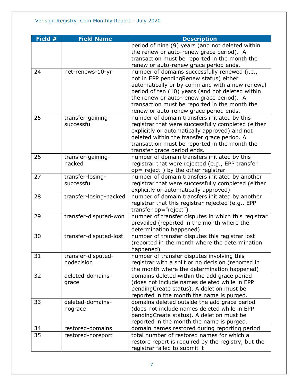| Field # | <b>Field Name</b>      | <b>Description</b>                                  |
|---------|------------------------|-----------------------------------------------------|
|         |                        | period of nine (9) years (and not deleted within    |
|         |                        | the renew or auto-renew grace period). A            |
|         |                        | transaction must be reported in the month the       |
|         |                        | renew or auto-renew grace period ends.              |
| 24      | net-renews-10-yr       | number of domains successfully renewed (i.e.,       |
|         |                        | not in EPP pendingRenew status) either              |
|         |                        | automatically or by command with a new renewal      |
|         |                        | period of ten (10) years (and not deleted within    |
|         |                        | the renew or auto-renew grace period). A            |
|         |                        | transaction must be reported in the month the       |
|         |                        | renew or auto-renew grace period ends.              |
| 25      | transfer-gaining-      | number of domain transfers initiated by this        |
|         | successful             | registrar that were successfully completed (either  |
|         |                        | explicitly or automatically approved) and not       |
|         |                        | deleted within the transfer grace period. A         |
|         |                        | transaction must be reported in the month the       |
|         |                        | transfer grace period ends.                         |
| 26      | transfer-gaining-      | number of domain transfers initiated by this        |
|         | nacked                 | registrar that were rejected (e.g., EPP transfer    |
|         |                        | op="reject") by the other registrar                 |
| 27      | transfer-losing-       | number of domain transfers initiated by another     |
|         | successful             | registrar that were successfully completed (either  |
|         |                        | explicitly or automatically approved)               |
| 28      | transfer-losing-nacked | number of domain transfers initiated by another     |
|         |                        | registrar that this registrar rejected (e.g., EPP   |
|         |                        | transfer op="reject")                               |
| 29      | transfer-disputed-won  | number of transfer disputes in which this registrar |
|         |                        | prevailed (reported in the month where the          |
|         |                        | determination happened)                             |
| 30      | transfer-disputed-lost | number of transfer disputes this registrar lost     |
|         |                        | (reported in the month where the determination      |
|         |                        | happened)                                           |
| 31      | transfer-disputed-     | number of transfer disputes involving this          |
|         | nodecision             | registrar with a split or no decision (reported in  |
|         |                        | the month where the determination happened)         |
| 32      | deleted-domains-       | domains deleted within the add grace period         |
|         | grace                  | (does not include names deleted while in EPP        |
|         |                        | pendingCreate status). A deletion must be           |
|         |                        | reported in the month the name is purged.           |
| 33      | deleted-domains-       | domains deleted outside the add grace period        |
|         | nograce                | (does not include names deleted while in EPP        |
|         |                        | pendingCreate status). A deletion must be           |
|         |                        | reported in the month the name is purged.           |
| 34      | restored-domains       | domain names restored during reporting period       |
| 35      | restored-noreport      | total number of restored names for which a          |
|         |                        | restore report is required by the registry, but the |
|         |                        | registrar failed to submit it                       |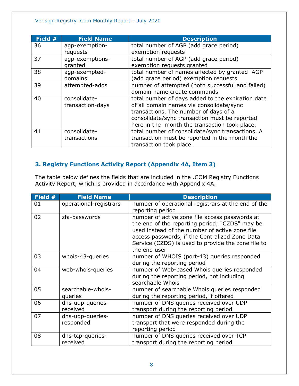| Field # | <b>Field Name</b> | <b>Description</b>                                |
|---------|-------------------|---------------------------------------------------|
| 36      | agp-exemption-    | total number of AGP (add grace period)            |
|         | requests          | exemption requests                                |
| 37      | agp-exemptions-   | total number of AGP (add grace period)            |
|         | granted           | exemption requests granted                        |
| 38      | agp-exempted-     | total number of names affected by granted AGP     |
|         | domains           | (add grace period) exemption requests             |
| 39      | attempted-adds    | number of attempted (both successful and failed)  |
|         |                   | domain name create commands                       |
| 40      | consolidate-      | total number of days added to the expiration date |
|         | transaction-days  | of all domain names via consolidate/sync          |
|         |                   | transactions. The number of days of a             |
|         |                   | consolidate/sync transaction must be reported     |
|         |                   | here in the month the transaction took place.     |
| 41      | consolidate-      | total number of consolidate/sync transactions. A  |
|         | transactions      | transaction must be reported in the month the     |
|         |                   | transaction took place.                           |

# <span id="page-7-0"></span>**3. Registry Functions Activity Report (Appendix 4A, Item 3)**

The table below defines the fields that are included in the .COM Registry Functions Activity Report, which is provided in accordance with Appendix 4A.

| Field $#$ | <b>Field Name</b>             | <b>Description</b>                                                                                                                                                                                                                                                         |
|-----------|-------------------------------|----------------------------------------------------------------------------------------------------------------------------------------------------------------------------------------------------------------------------------------------------------------------------|
| 01        | operational-registrars        | number of operational registrars at the end of the<br>reporting period                                                                                                                                                                                                     |
| 02        | zfa-passwords                 | number of active zone file access passwords at<br>the end of the reporting period; "CZDS" may be<br>used instead of the number of active zone file<br>access passwords, if the Centralized Zone Data<br>Service (CZDS) is used to provide the zone file to<br>the end user |
| 03        | whois-43-queries              | number of WHOIS (port-43) queries responded<br>during the reporting period                                                                                                                                                                                                 |
| 04        | web-whois-queries             | number of Web-based Whois queries responded<br>during the reporting period, not including<br>searchable Whois                                                                                                                                                              |
| 05        | searchable-whois-<br>queries  | number of searchable Whois queries responded<br>during the reporting period, if offered                                                                                                                                                                                    |
| 06        | dns-udp-queries-<br>received  | number of DNS queries received over UDP<br>transport during the reporting period                                                                                                                                                                                           |
| 07        | dns-udp-queries-<br>responded | number of DNS queries received over UDP<br>transport that were responded during the<br>reporting period                                                                                                                                                                    |
| 08        | dns-tcp-queries-<br>received  | number of DNS queries received over TCP<br>transport during the reporting period                                                                                                                                                                                           |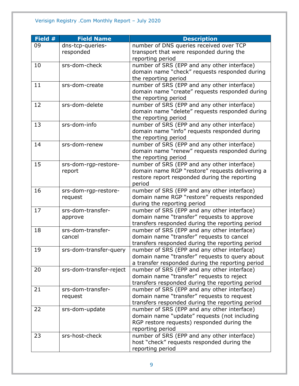| Field # | <b>Field Name</b>       | <b>Description</b>                               |
|---------|-------------------------|--------------------------------------------------|
| 09      | dns-tcp-queries-        | number of DNS queries received over TCP          |
|         | responded               | transport that were responded during the         |
|         |                         | reporting period                                 |
| 10      | srs-dom-check           | number of SRS (EPP and any other interface)      |
|         |                         | domain name "check" requests responded during    |
|         |                         | the reporting period                             |
| 11      | srs-dom-create          | number of SRS (EPP and any other interface)      |
|         |                         | domain name "create" requests responded during   |
|         |                         | the reporting period                             |
| 12      | srs-dom-delete          | number of SRS (EPP and any other interface)      |
|         |                         | domain name "delete" requests responded during   |
|         |                         | the reporting period                             |
| 13      | srs-dom-info            | number of SRS (EPP and any other interface)      |
|         |                         | domain name "info" requests responded during     |
|         |                         | the reporting period                             |
| 14      | srs-dom-renew           | number of SRS (EPP and any other interface)      |
|         |                         | domain name "renew" requests responded during    |
|         |                         | the reporting period                             |
| 15      | srs-dom-rgp-restore-    | number of SRS (EPP and any other interface)      |
|         | report                  | domain name RGP "restore" requests delivering a  |
|         |                         | restore report responded during the reporting    |
|         |                         | period                                           |
| 16      | srs-dom-rgp-restore-    | number of SRS (EPP and any other interface)      |
|         | request                 | domain name RGP "restore" requests responded     |
|         |                         | during the reporting period                      |
| 17      | srs-dom-transfer-       | number of SRS (EPP and any other interface)      |
|         | approve                 | domain name "transfer" requests to approve       |
|         |                         | transfers responded during the reporting period  |
| 18      | srs-dom-transfer-       | number of SRS (EPP and any other interface)      |
|         | cancel                  | domain name "transfer" requests to cancel        |
|         |                         | transfers responded during the reporting period  |
| 19      | srs-dom-transfer-query  | number of SRS (EPP and any other interface)      |
|         |                         | domain name "transfer" requests to query about   |
|         |                         | a transfer responded during the reporting period |
| 20      | srs-dom-transfer-reject | number of SRS (EPP and any other interface)      |
|         |                         | domain name "transfer" requests to reject        |
|         |                         | transfers responded during the reporting period  |
| 21      | srs-dom-transfer-       | number of SRS (EPP and any other interface)      |
|         | request                 | domain name "transfer" requests to request       |
|         |                         | transfers responded during the reporting period  |
| 22      | srs-dom-update          | number of SRS (EPP and any other interface)      |
|         |                         | domain name "update" requests (not including     |
|         |                         | RGP restore requests) responded during the       |
|         |                         | reporting period                                 |
| 23      | srs-host-check          | number of SRS (EPP and any other interface)      |
|         |                         | host "check" requests responded during the       |
|         |                         | reporting period                                 |